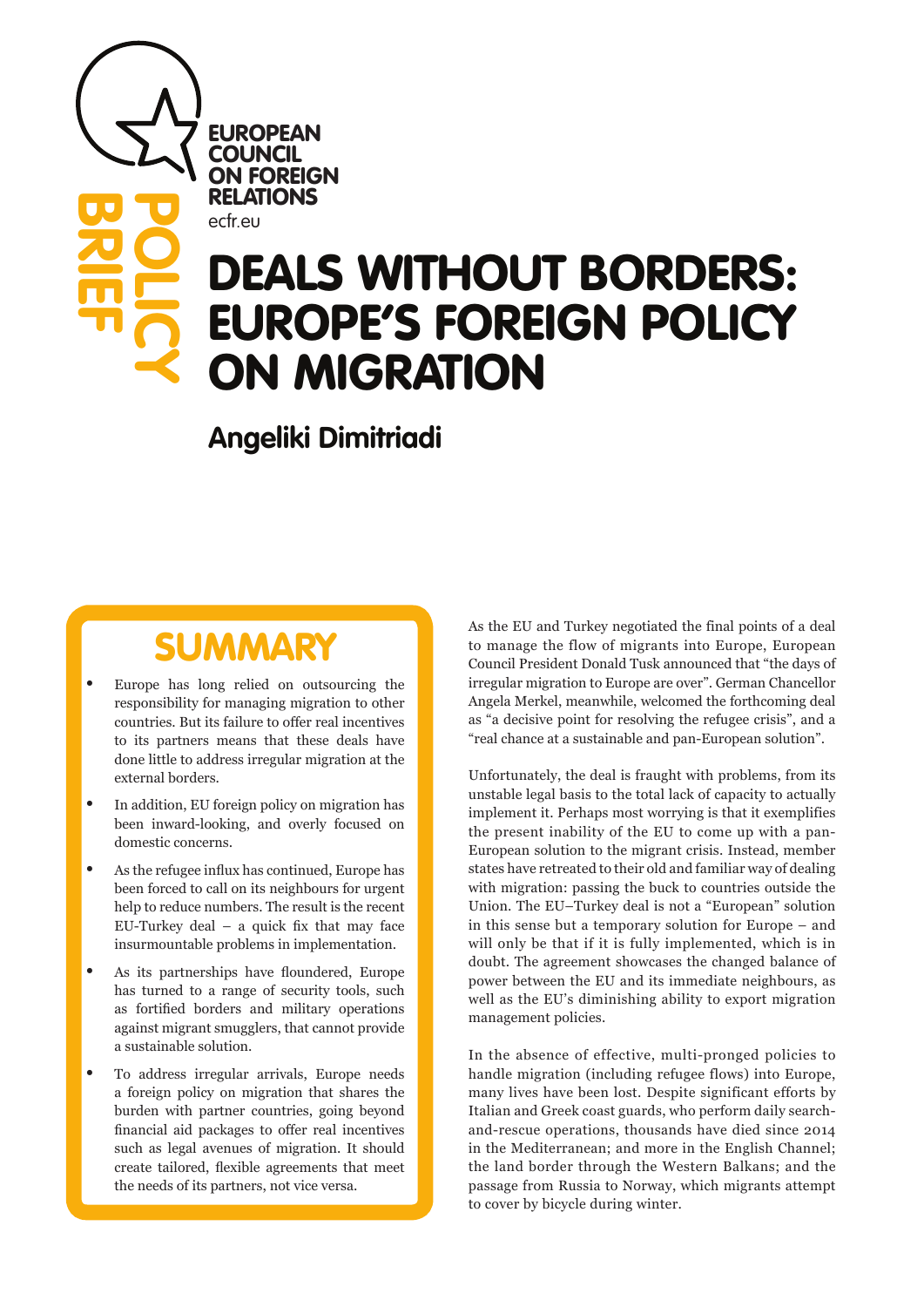**EUROPEAN COUNCIL** ON FOREIGN RELATIONS

ecfr.eu

**BRIEF**

**POLICY**

# DEALS WITHOUT BORDERS: EUROPE'S FOREIGN POLICY ON MIGRATION

**Angeliki Dimitriadi**

## SUMMARY

- Europe has long relied on outsourcing the responsibility for managing migration to other countries. But its failure to offer real incentives to its partners means that these deals have done little to address irregular migration at the external borders.
- In addition, EU foreign policy on migration has been inward-looking, and overly focused on domestic concerns.
- As the refugee influx has continued, Europe has been forced to call on its neighbours for urgent help to reduce numbers. The result is the recent EU-Turkey deal  $-$  a quick fix that may face insurmountable problems in implementation.
- As its partnerships have floundered, Europe has turned to a range of security tools, such as fortified borders and military operations against migrant smugglers, that cannot provide a sustainable solution.
- To address irregular arrivals, Europe needs a foreign policy on migration that shares the burden with partner countries, going beyond financial aid packages to offer real incentives such as legal avenues of migration. It should create tailored, flexible agreements that meet the needs of its partners, not vice versa.

As the EU and Turkey negotiated the final points of a deal to manage the flow of migrants into Europe, European Council President Donald Tusk announced that "the days of irregular migration to Europe are over". German Chancellor Angela Merkel, meanwhile, welcomed the forthcoming deal as "a decisive point for resolving the refugee crisis", and a "real chance at a sustainable and pan-European solution".

Unfortunately, the deal is fraught with problems, from its unstable legal basis to the total lack of capacity to actually implement it. Perhaps most worrying is that it exemplifies the present inability of the EU to come up with a pan-European solution to the migrant crisis. Instead, member states have retreated to their old and familiar way of dealing with migration: passing the buck to countries outside the Union. The EU–Turkey deal is not a "European" solution in this sense but a temporary solution for Europe – and will only be that if it is fully implemented, which is in doubt. The agreement showcases the changed balance of power between the EU and its immediate neighbours, as well as the EU's diminishing ability to export migration management policies.

In the absence of effective, multi-pronged policies to handle migration (including refugee flows) into Europe, many lives have been lost. Despite significant efforts by Italian and Greek coast guards, who perform daily searchand-rescue operations, thousands have died since 2014 in the Mediterranean; and more in the English Channel; the land border through the Western Balkans; and the passage from Russia to Norway, which migrants attempt to cover by bicycle during winter.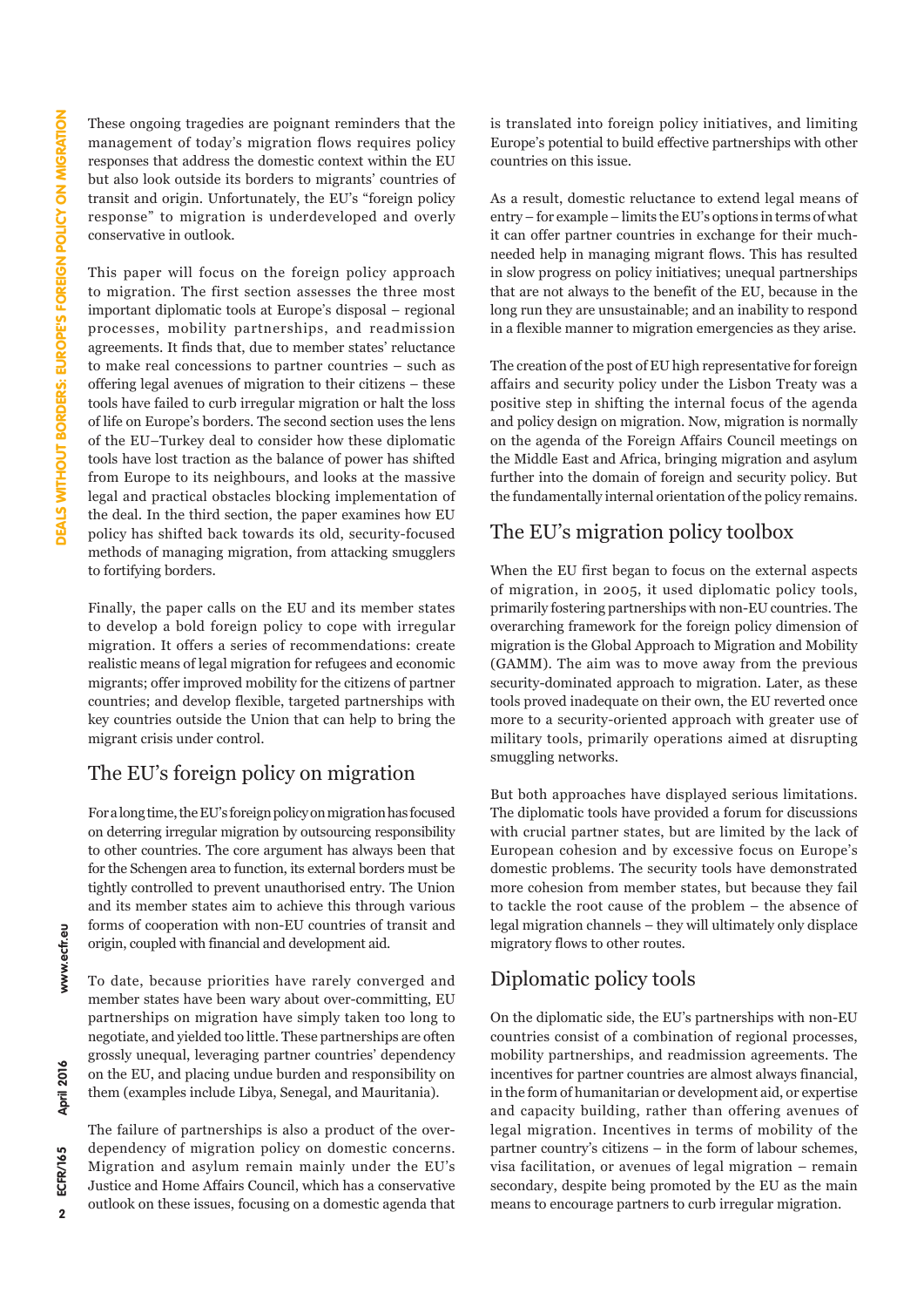These ongoing tragedies are poignant reminders that the management of today's migration flows requires policy responses that address the domestic context within the EU but also look outside its borders to migrants' countries of transit and origin. Unfortunately, the EU's "foreign policy response" to migration is underdeveloped and overly conservative in outlook.

This paper will focus on the foreign policy approach to migration. The first section assesses the three most important diplomatic tools at Europe's disposal – regional processes, mobility partnerships, and readmission agreements. It finds that, due to member states' reluctance to make real concessions to partner countries – such as offering legal avenues of migration to their citizens – these tools have failed to curb irregular migration or halt the loss of life on Europe's borders. The second section uses the lens of the EU–Turkey deal to consider how these diplomatic tools have lost traction as the balance of power has shifted from Europe to its neighbours, and looks at the massive legal and practical obstacles blocking implementation of the deal. In the third section, the paper examines how EU policy has shifted back towards its old, security-focused methods of managing migration, from attacking smugglers to fortifying borders.

Finally, the paper calls on the EU and its member states to develop a bold foreign policy to cope with irregular migration. It offers a series of recommendations: create realistic means of legal migration for refugees and economic migrants; offer improved mobility for the citizens of partner countries; and develop flexible, targeted partnerships with key countries outside the Union that can help to bring the migrant crisis under control.

### The EU's foreign policy on migration

For a long time, the EU's foreign policy on migration has focused on deterring irregular migration by outsourcing responsibility to other countries. The core argument has always been that for the Schengen area to function, its external borders must be tightly controlled to prevent unauthorised entry. The Union and its member states aim to achieve this through various forms of cooperation with non-EU countries of transit and origin, coupled with financial and development aid.

To date, because priorities have rarely converged and member states have been wary about over-committing, EU partnerships on migration have simply taken too long to negotiate, and yielded too little. These partnerships are often grossly unequal, leveraging partner countries' dependency on the EU, and placing undue burden and responsibility on them (examples include Libya, Senegal, and Mauritania).

The failure of partnerships is also a product of the overdependency of migration policy on domestic concerns. Migration and asylum remain mainly under the EU's Justice and Home Affairs Council, which has a conservative outlook on these issues, focusing on a domestic agenda that is translated into foreign policy initiatives, and limiting Europe's potential to build effective partnerships with other countries on this issue.

As a result, domestic reluctance to extend legal means of entry – for example – limits the EU's options in terms of what it can offer partner countries in exchange for their muchneeded help in managing migrant flows. This has resulted in slow progress on policy initiatives; unequal partnerships that are not always to the benefit of the EU, because in the long run they are unsustainable; and an inability to respond in a flexible manner to migration emergencies as they arise.

The creation of the post of EU high representative for foreign affairs and security policy under the Lisbon Treaty was a positive step in shifting the internal focus of the agenda and policy design on migration. Now, migration is normally on the agenda of the Foreign Affairs Council meetings on the Middle East and Africa, bringing migration and asylum further into the domain of foreign and security policy. But the fundamentally internal orientation of the policy remains.

### The EU's migration policy toolbox

When the EU first began to focus on the external aspects of migration, in 2005, it used diplomatic policy tools, primarily fostering partnerships with non-EU countries. The overarching framework for the foreign policy dimension of migration is the Global Approach to Migration and Mobility (GAMM). The aim was to move away from the previous security-dominated approach to migration. Later, as these tools proved inadequate on their own, the EU reverted once more to a security-oriented approach with greater use of military tools, primarily operations aimed at disrupting smuggling networks.

But both approaches have displayed serious limitations. The diplomatic tools have provided a forum for discussions with crucial partner states, but are limited by the lack of European cohesion and by excessive focus on Europe's domestic problems. The security tools have demonstrated more cohesion from member states, but because they fail to tackle the root cause of the problem – the absence of legal migration channels – they will ultimately only displace migratory flows to other routes.

### Diplomatic policy tools

On the diplomatic side, the EU's partnerships with non-EU countries consist of a combination of regional processes, mobility partnerships, and readmission agreements. The incentives for partner countries are almost always financial, in the form of humanitarian or development aid, or expertise and capacity building, rather than offering avenues of legal migration. Incentives in terms of mobility of the partner country's citizens – in the form of labour schemes, visa facilitation, or avenues of legal migration – remain secondary, despite being promoted by the EU as the main means to encourage partners to curb irregular migration.

April 2016

www.ecfr.eu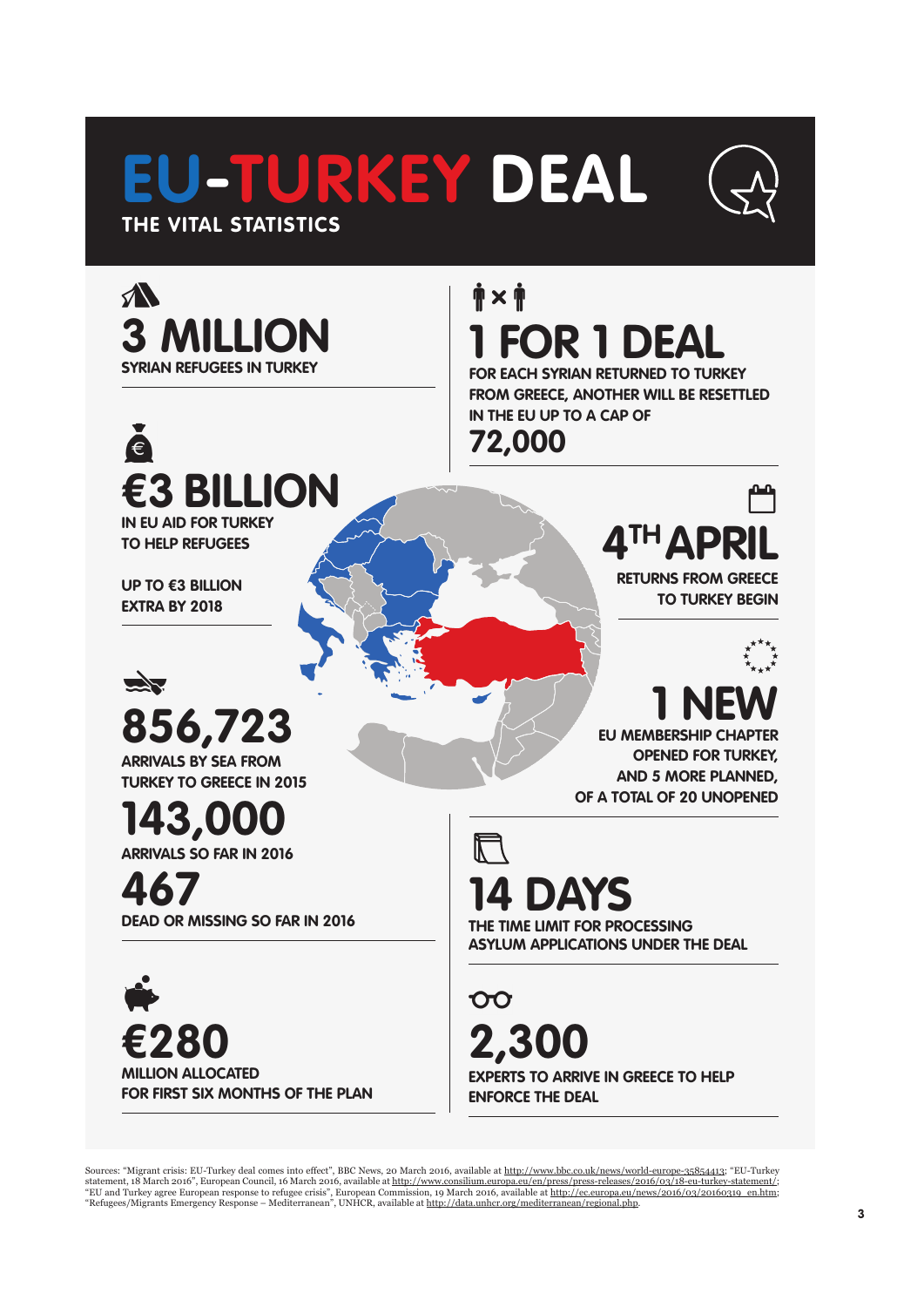# **EU-TURKEY DEAL THE VITAL STATISTICS**





# ě **€3 BILLION**

**IN EU AID FOR TURKEY TO HELP REFUGEES**

**UP TO €3 BILLION EXTRA BY 2018**



**72,000** 

 $\mathbf{\dot{p}} \times \mathbf{\dot{p}}$ 

**1 FOR 1 DEAL**

**IN THE EU UP TO A CAP OF** 

**FOR EACH SYRIAN RETURNED TO TURKEY FROM GREECE, ANOTHER WILL BE RESETTLED** 

> **4TH APRIL RETURNS FROM GREECE**

**TO TURKEY BEGIN**

**EU MEMBERSHIP CHAPTER 1 NEW OPENED FOR TURKEY, AND 5 MORE PLANNED, OF A TOTAL OF 20 UNOPENED**

**856,723 ARRIVALS BY SEA FROM**

**TURKEY TO GREECE IN 2015**

**143,000 ARRIVALS SO FAR IN 2016** 

**467 DEAD OR MISSING SO FAR IN 2016**

**€280 MILLION ALLOCATED FOR FIRST SIX MONTHS OF THE PLAN** **14 DAYS**

**THE TIME LIMIT FOR PROCESSING ASYLUM APPLICATIONS UNDER THE DEAL**

 $\infty$ **2,300 EXPERTS TO ARRIVE IN GREECE TO HELP ENFORCE THE DEAL**

Sources: "Migrant crisis: EU-Turkey deal comes into effect", BBC News, 20 March 2016, available at <u>[http://www.bbc.co.uk/news/world-europe-35854413;](http://www.bbc.co.uk/news/world-europe-35854413)</u> "EU-Turkey<br>statement, 18 March 2016", European Council, 16 March 2016, a "EU and Turkey agree European response to refugee crisis", European Commission, 19 March 2016, available at <u>[http://ec.europa.eu/news/2016/03/20160319\\_en.htm](http://ec.europa.eu/news/2016/03/20160319_en.htm);</u><br>"Refugees/Migrants Emergency Response – Mediterranean", UNHCR,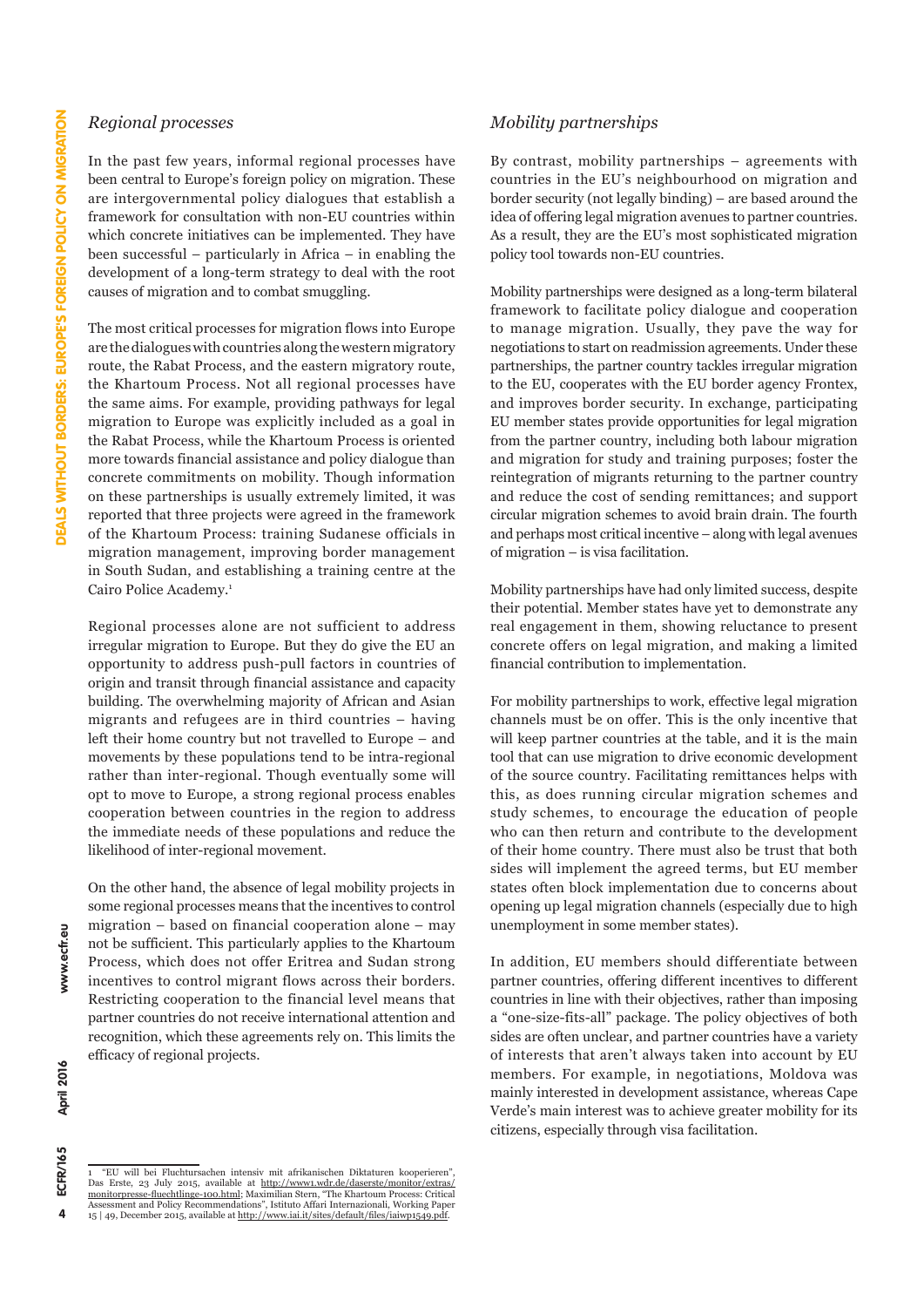### *Regional processes*

In the past few years, informal regional processes have been central to Europe's foreign policy on migration. These are intergovernmental policy dialogues that establish a framework for consultation with non-EU countries within which concrete initiatives can be implemented. They have been successful – particularly in Africa – in enabling the development of a long-term strategy to deal with the root causes of migration and to combat smuggling.

The most critical processes for migration flows into Europe are the dialogues with countries along the western migratory route, the Rabat Process, and the eastern migratory route, the Khartoum Process. Not all regional processes have the same aims. For example, providing pathways for legal migration to Europe was explicitly included as a goal in the Rabat Process, while the Khartoum Process is oriented more towards financial assistance and policy dialogue than concrete commitments on mobility. Though information on these partnerships is usually extremely limited, it was reported that three projects were agreed in the framework of the Khartoum Process: training Sudanese officials in migration management, improving border management in South Sudan, and establishing a training centre at the Cairo Police Academy.<sup>1</sup>

Regional processes alone are not sufficient to address irregular migration to Europe. But they do give the EU an opportunity to address push-pull factors in countries of origin and transit through financial assistance and capacity building. The overwhelming majority of African and Asian migrants and refugees are in third countries – having left their home country but not travelled to Europe – and movements by these populations tend to be intra-regional rather than inter-regional. Though eventually some will opt to move to Europe, a strong regional process enables cooperation between countries in the region to address the immediate needs of these populations and reduce the likelihood of inter-regional movement.

On the other hand, the absence of legal mobility projects in some regional processes means that the incentives to control migration – based on financial cooperation alone – may not be sufficient. This particularly applies to the Khartoum Process, which does not offer Eritrea and Sudan strong incentives to control migrant flows across their borders. Restricting cooperation to the financial level means that partner countries do not receive international attention and recognition, which these agreements rely on. This limits the efficacy of regional projects.

### *Mobility partnerships*

By contrast, mobility partnerships – agreements with countries in the EU's neighbourhood on migration and border security (not legally binding) – are based around the idea of offering legal migration avenues to partner countries. As a result, they are the EU's most sophisticated migration policy tool towards non-EU countries.

Mobility partnerships were designed as a long-term bilateral framework to facilitate policy dialogue and cooperation to manage migration. Usually, they pave the way for negotiations to start on readmission agreements. Under these partnerships, the partner country tackles irregular migration to the EU, cooperates with the EU border agency Frontex, and improves border security. In exchange, participating EU member states provide opportunities for legal migration from the partner country, including both labour migration and migration for study and training purposes; foster the reintegration of migrants returning to the partner country and reduce the cost of sending remittances; and support circular migration schemes to avoid brain drain. The fourth and perhaps most critical incentive – along with legal avenues of migration – is visa facilitation.

Mobility partnerships have had only limited success, despite their potential. Member states have yet to demonstrate any real engagement in them, showing reluctance to present concrete offers on legal migration, and making a limited financial contribution to implementation.

For mobility partnerships to work, effective legal migration channels must be on offer. This is the only incentive that will keep partner countries at the table, and it is the main tool that can use migration to drive economic development of the source country. Facilitating remittances helps with this, as does running circular migration schemes and study schemes, to encourage the education of people who can then return and contribute to the development of their home country. There must also be trust that both sides will implement the agreed terms, but EU member states often block implementation due to concerns about opening up legal migration channels (especially due to high unemployment in some member states).

In addition, EU members should differentiate between partner countries, offering different incentives to different countries in line with their objectives, rather than imposing a "one-size-fits-all" package. The policy objectives of both sides are often unclear, and partner countries have a variety of interests that aren't always taken into account by EU members. For example, in negotiations, Moldova was mainly interested in development assistance, whereas Cape Verde's main interest was to achieve greater mobility for its citizens, especially through visa facilitation.

www.ecfr.eu April 2016

ECFR/165  $\overline{\mathbf{4}}$ 

<sup>1 &</sup>quot;EU will bei Fluchtursachen intensiv mit afrikanischen Diktaturen kooperieren", Das Erste, 23 July 2015, available at [http://www1.wdr.de/daserste/monitor/extras/](http://www1.wdr.de/daserste/monitor/extras/monitorpresse-fluechtlinge-100.html) [monitorpresse-fluechtlinge-100.html](http://www1.wdr.de/daserste/monitor/extras/monitorpresse-fluechtlinge-100.html); Maximilian Stern, "The Khartoum Process: Critical Assessment and Policy Recommendations", Istituto Affari Internazionali, Working Paper<br>15 | 49, December 2015, available at <u><http://www.iai.it/sites/default/files/iaiwp1549.pdf></u>.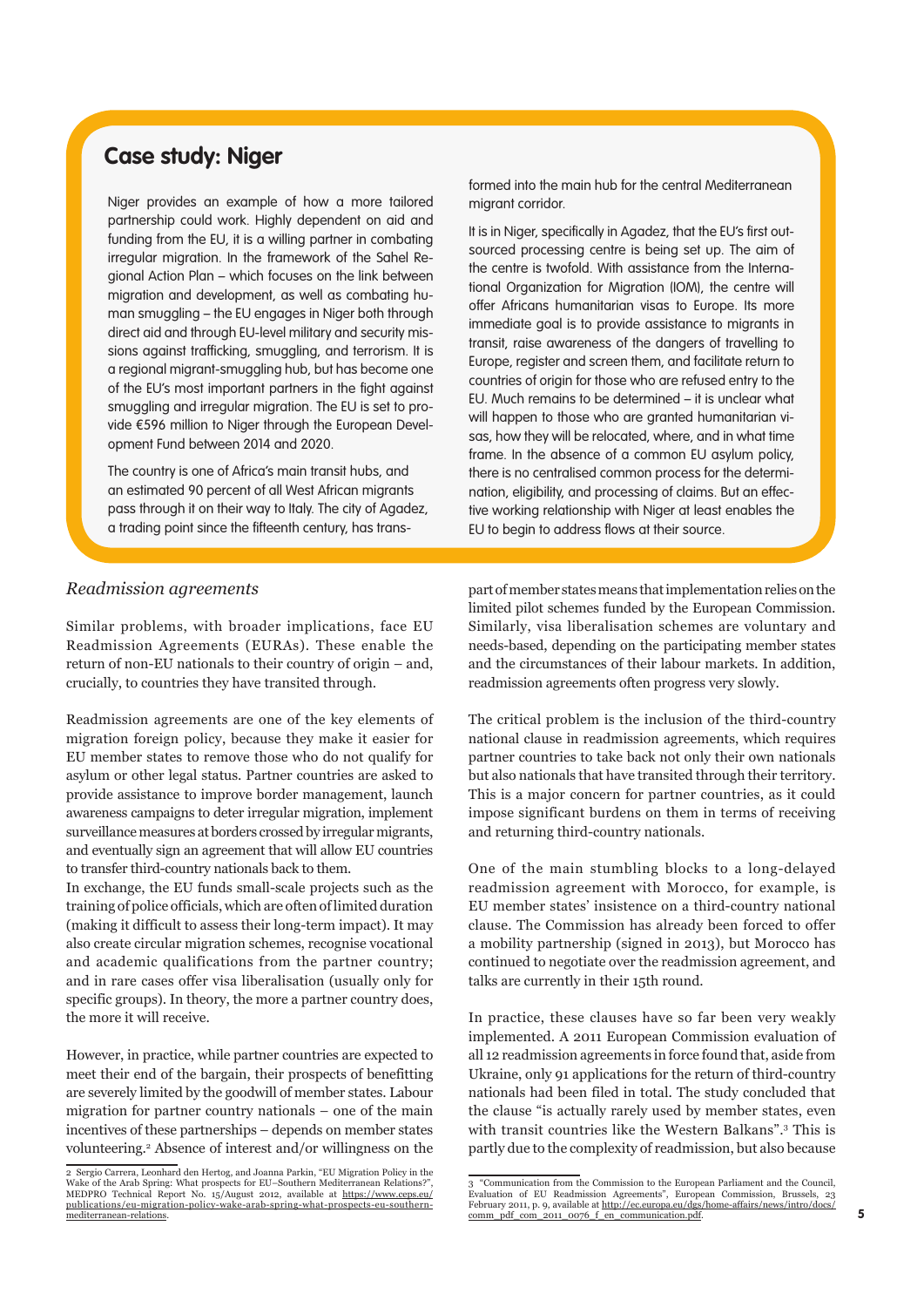### **Case study: Niger**

Niger provides an example of how a more tailored partnership could work. Highly dependent on aid and funding from the EU, it is a willing partner in combating irregular migration. In the framework of the Sahel Regional Action Plan – which focuses on the link between migration and development, as well as combating human smuggling – the EU engages in Niger both through direct aid and through EU-level military and security missions against trafficking, smuggling, and terrorism. It is a regional migrant-smuggling hub, but has become one of the EU's most important partners in the fight against smuggling and irregular migration. The EU is set to provide €596 million to Niger through the European Development Fund between 2014 and 2020.

The country is one of Africa's main transit hubs, and an estimated 90 percent of all West African migrants pass through it on their way to Italy. The city of Agadez, a trading point since the fifteenth century, has transformed into the main hub for the central Mediterranean migrant corridor.

It is in Niger, specifically in Agadez, that the EU's first outsourced processing centre is being set up. The aim of the centre is twofold. With assistance from the International Organization for Migration (IOM), the centre will offer Africans humanitarian visas to Europe. Its more immediate goal is to provide assistance to migrants in transit, raise awareness of the dangers of travelling to Europe, register and screen them, and facilitate return to countries of origin for those who are refused entry to the EU. Much remains to be determined – it is unclear what will happen to those who are granted humanitarian visas, how they will be relocated, where, and in what time frame. In the absence of a common EU asylum policy, there is no centralised common process for the determination, eligibility, and processing of claims. But an effective working relationship with Niger at least enables the EU to begin to address flows at their source.

### *Readmission agreements*

Similar problems, with broader implications, face EU Readmission Agreements (EURAs). These enable the return of non-EU nationals to their country of origin – and, crucially, to countries they have transited through.

Readmission agreements are one of the key elements of migration foreign policy, because they make it easier for EU member states to remove those who do not qualify for asylum or other legal status. Partner countries are asked to provide assistance to improve border management, launch awareness campaigns to deter irregular migration, implement surveillance measures at borders crossed by irregular migrants, and eventually sign an agreement that will allow EU countries to transfer third-country nationals back to them.

In exchange, the EU funds small-scale projects such as the training of police officials, which are often of limited duration (making it difficult to assess their long-term impact). It may also create circular migration schemes, recognise vocational and academic qualifications from the partner country; and in rare cases offer visa liberalisation (usually only for specific groups). In theory, the more a partner country does, the more it will receive.

However, in practice, while partner countries are expected to meet their end of the bargain, their prospects of benefitting are severely limited by the goodwill of member states. Labour migration for partner country nationals – one of the main incentives of these partnerships – depends on member states volunteering.2 Absence of interest and/or willingness on the part of member states means that implementation relies on the limited pilot schemes funded by the European Commission. Similarly, visa liberalisation schemes are voluntary and needs-based, depending on the participating member states and the circumstances of their labour markets. In addition, readmission agreements often progress very slowly.

The critical problem is the inclusion of the third-country national clause in readmission agreements, which requires partner countries to take back not only their own nationals but also nationals that have transited through their territory. This is a major concern for partner countries, as it could impose significant burdens on them in terms of receiving and returning third-country nationals.

One of the main stumbling blocks to a long-delayed readmission agreement with Morocco, for example, is EU member states' insistence on a third-country national clause. The Commission has already been forced to offer a mobility partnership (signed in 2013), but Morocco has continued to negotiate over the readmission agreement, and talks are currently in their 15th round.

In practice, these clauses have so far been very weakly implemented. A 2011 European Commission evaluation of all 12 readmission agreements in force found that, aside from Ukraine, only 91 applications for the return of third-country nationals had been filed in total. The study concluded that the clause "is actually rarely used by member states, even with transit countries like the Western Balkans".3 This is partly due to the complexity of readmission, but also because

<sup>2</sup> Sergio Carrera, Leonhard den Hertog, and Joanna Parkin, "EU Migration Policy in the Wake of the Arab Spring: What prospects for EU–Southern Mediterranean Relations?" MEDPRO Technical Report No. 15/August 2012, available at [https://www.ceps.eu/](https://www.ceps.eu/publications/eu-migration-policy-wake-arab-spring-what-prospects-eu-southern-mediterranean-relations) [publications/eu-migration-policy-wake-arab-spring-what-prospects-eu-southern](https://www.ceps.eu/publications/eu-migration-policy-wake-arab-spring-what-prospects-eu-southern-mediterranean-relations)[mediterranean-relations](https://www.ceps.eu/publications/eu-migration-policy-wake-arab-spring-what-prospects-eu-southern-mediterranean-relations).

<sup>3 &</sup>quot;Communication from the Commission to the European Parliament and the Council, Evaluation of EU Readmission Agreements", European Commission, Brussels, 23 February 2011, p. 9, available at [http://ec.europa.eu/dgs/home-affairs/news/intro/docs/](http://ec.europa.eu/dgs/home-affairs/news/intro/docs/comm_pdf_com_2011_0076_f_en_communication.pdf) [comm\\_pdf\\_com\\_2011\\_0076\\_f\\_en\\_communication.pdf](http://ec.europa.eu/dgs/home-affairs/news/intro/docs/comm_pdf_com_2011_0076_f_en_communication.pdf).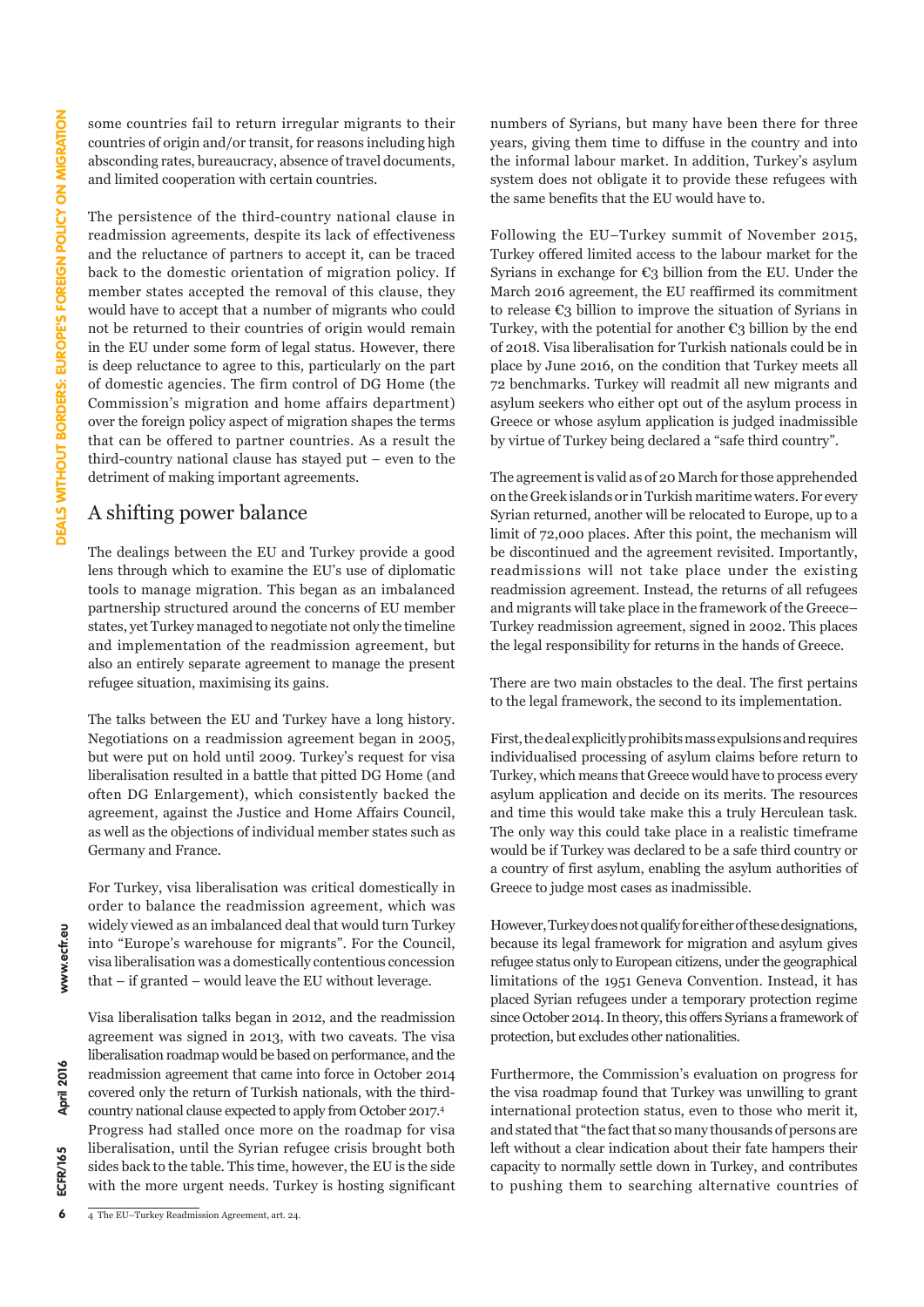some countries fail to return irregular migrants to their countries of origin and/or transit, for reasons including high absconding rates, bureaucracy, absence of travel documents, and limited cooperation with certain countries.

The persistence of the third-country national clause in readmission agreements, despite its lack of effectiveness and the reluctance of partners to accept it, can be traced back to the domestic orientation of migration policy. If member states accepted the removal of this clause, they would have to accept that a number of migrants who could not be returned to their countries of origin would remain in the EU under some form of legal status. However, there is deep reluctance to agree to this, particularly on the part of domestic agencies. The firm control of DG Home (the Commission's migration and home affairs department) over the foreign policy aspect of migration shapes the terms that can be offered to partner countries. As a result the third-country national clause has stayed put – even to the detriment of making important agreements.

### A shifting power balance

The dealings between the EU and Turkey provide a good lens through which to examine the EU's use of diplomatic tools to manage migration. This began as an imbalanced partnership structured around the concerns of EU member states, yet Turkey managed to negotiate not only the timeline and implementation of the readmission agreement, but also an entirely separate agreement to manage the present refugee situation, maximising its gains.

The talks between the EU and Turkey have a long history. Negotiations on a readmission agreement began in 2005, but were put on hold until 2009. Turkey's request for visa liberalisation resulted in a battle that pitted DG Home (and often DG Enlargement), which consistently backed the agreement, against the Justice and Home Affairs Council, as well as the objections of individual member states such as Germany and France.

For Turkey, visa liberalisation was critical domestically in order to balance the readmission agreement, which was widely viewed as an imbalanced deal that would turn Turkey into "Europe's warehouse for migrants". For the Council, visa liberalisation was a domestically contentious concession that – if granted – would leave the EU without leverage.

Visa liberalisation talks began in 2012, and the readmission agreement was signed in 2013, with two caveats. The visa liberalisation roadmap would be based on performance, and the readmission agreement that came into force in October 2014 covered only the return of Turkish nationals, with the thirdcountry national clause expected to apply from October 2017.<sup>4</sup> Progress had stalled once more on the roadmap for visa liberalisation, until the Syrian refugee crisis brought both sides back to the table. This time, however, the EU is the side with the more urgent needs. Turkey is hosting significant

4 The EU–Turkey Readmission Agreement, art. 24.

numbers of Syrians, but many have been there for three years, giving them time to diffuse in the country and into the informal labour market. In addition, Turkey's asylum system does not obligate it to provide these refugees with the same benefits that the EU would have to.

Following the EU–Turkey summit of November 2015, Turkey offered limited access to the labour market for the Syrians in exchange for  $\epsilon_3$  billion from the EU. Under the March 2016 agreement, the EU reaffirmed its commitment to release  $\epsilon_3$  billion to improve the situation of Syrians in Turkey, with the potential for another  $\epsilon_3$  billion by the end of 2018. Visa liberalisation for Turkish nationals could be in place by June 2016, on the condition that Turkey meets all 72 benchmarks. Turkey will readmit all new migrants and asylum seekers who either opt out of the asylum process in Greece or whose asylum application is judged inadmissible by virtue of Turkey being declared a "safe third country".

The agreement is valid as of 20 March for those apprehended on the Greek islands or in Turkish maritime waters. For every Syrian returned, another will be relocated to Europe, up to a limit of 72,000 places. After this point, the mechanism will be discontinued and the agreement revisited. Importantly, readmissions will not take place under the existing readmission agreement. Instead, the returns of all refugees and migrants will take place in the framework of the Greece– Turkey readmission agreement, signed in 2002. This places the legal responsibility for returns in the hands of Greece.

There are two main obstacles to the deal. The first pertains to the legal framework, the second to its implementation.

First, the deal explicitly prohibits mass expulsions and requires individualised processing of asylum claims before return to Turkey, which means that Greece would have to process every asylum application and decide on its merits. The resources and time this would take make this a truly Herculean task. The only way this could take place in a realistic timeframe would be if Turkey was declared to be a safe third country or a country of first asylum, enabling the asylum authorities of Greece to judge most cases as inadmissible.

However, Turkey does not qualify for either of these designations, because its legal framework for migration and asylum gives refugee status only to European citizens, under the geographical limitations of the 1951 Geneva Convention. Instead, it has placed Syrian refugees under a temporary protection regime since October 2014. In theory, this offers Syrians a framework of protection, but excludes other nationalities.

Furthermore, the Commission's evaluation on progress for the visa roadmap found that Turkey was unwilling to grant international protection status, even to those who merit it, and stated that "the fact that so many thousands of persons are left without a clear indication about their fate hampers their capacity to normally settle down in Turkey, and contributes to pushing them to searching alternative countries of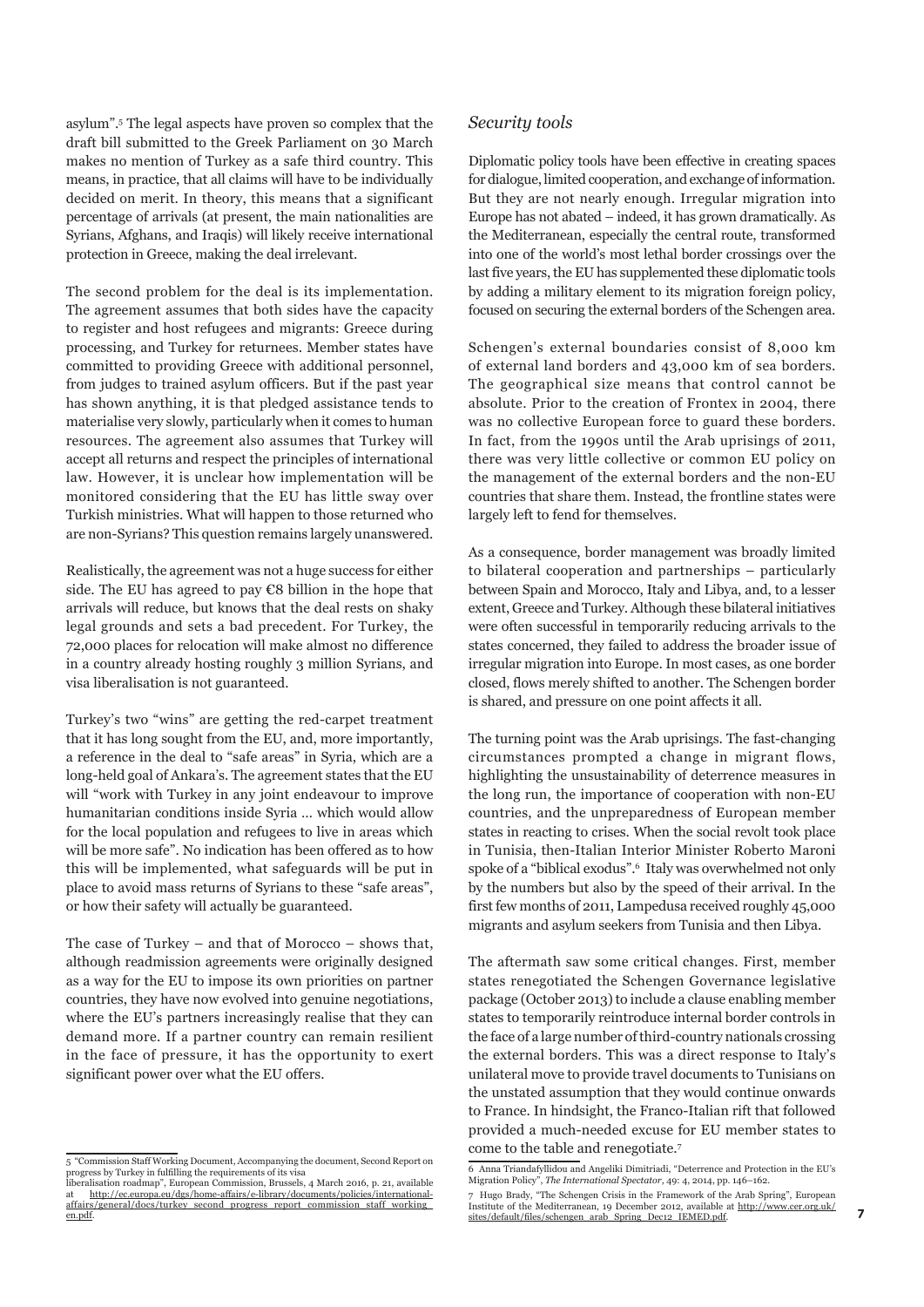asylum".5 The legal aspects have proven so complex that the draft bill submitted to the Greek Parliament on 30 March makes no mention of Turkey as a safe third country. This means, in practice, that all claims will have to be individually decided on merit. In theory, this means that a significant percentage of arrivals (at present, the main nationalities are Syrians, Afghans, and Iraqis) will likely receive international protection in Greece, making the deal irrelevant.

The second problem for the deal is its implementation. The agreement assumes that both sides have the capacity to register and host refugees and migrants: Greece during processing, and Turkey for returnees. Member states have committed to providing Greece with additional personnel, from judges to trained asylum officers. But if the past year has shown anything, it is that pledged assistance tends to materialise very slowly, particularly when it comes to human resources. The agreement also assumes that Turkey will accept all returns and respect the principles of international law. However, it is unclear how implementation will be monitored considering that the EU has little sway over Turkish ministries. What will happen to those returned who are non-Syrians? This question remains largely unanswered.

Realistically, the agreement was not a huge success for either side. The EU has agreed to pay €8 billion in the hope that arrivals will reduce, but knows that the deal rests on shaky legal grounds and sets a bad precedent. For Turkey, the 72,000 places for relocation will make almost no difference in a country already hosting roughly 3 million Syrians, and visa liberalisation is not guaranteed.

Turkey's two "wins" are getting the red-carpet treatment that it has long sought from the EU, and, more importantly, a reference in the deal to "safe areas" in Syria, which are a long-held goal of Ankara's. The agreement states that the EU will "work with Turkey in any joint endeavour to improve humanitarian conditions inside Syria … which would allow for the local population and refugees to live in areas which will be more safe". No indication has been offered as to how this will be implemented, what safeguards will be put in place to avoid mass returns of Syrians to these "safe areas", or how their safety will actually be guaranteed.

The case of Turkey – and that of Morocco – shows that, although readmission agreements were originally designed as a way for the EU to impose its own priorities on partner countries, they have now evolved into genuine negotiations, where the EU's partners increasingly realise that they can demand more. If a partner country can remain resilient in the face of pressure, it has the opportunity to exert significant power over what the EU offers.

### *Security tools*

Diplomatic policy tools have been effective in creating spaces for dialogue, limited cooperation, and exchange of information. But they are not nearly enough. Irregular migration into Europe has not abated – indeed, it has grown dramatically. As the Mediterranean, especially the central route, transformed into one of the world's most lethal border crossings over the last five years, the EU has supplemented these diplomatic tools by adding a military element to its migration foreign policy, focused on securing the external borders of the Schengen area.

Schengen's external boundaries consist of 8,000 km of external land borders and 43,000 km of sea borders. The geographical size means that control cannot be absolute. Prior to the creation of Frontex in 2004, there was no collective European force to guard these borders. In fact, from the 1990s until the Arab uprisings of 2011, there was very little collective or common EU policy on the management of the external borders and the non-EU countries that share them. Instead, the frontline states were largely left to fend for themselves.

As a consequence, border management was broadly limited to bilateral cooperation and partnerships – particularly between Spain and Morocco, Italy and Libya, and, to a lesser extent, Greece and Turkey. Although these bilateral initiatives were often successful in temporarily reducing arrivals to the states concerned, they failed to address the broader issue of irregular migration into Europe. In most cases, as one border closed, flows merely shifted to another. The Schengen border is shared, and pressure on one point affects it all.

The turning point was the Arab uprisings. The fast-changing circumstances prompted a change in migrant flows, highlighting the unsustainability of deterrence measures in the long run, the importance of cooperation with non-EU countries, and the unpreparedness of European member states in reacting to crises. When the social revolt took place in Tunisia, then-Italian Interior Minister Roberto Maroni spoke of a "biblical exodus".<sup>6</sup> Italy was overwhelmed not only by the numbers but also by the speed of their arrival. In the first few months of 2011, Lampedusa received roughly 45,000 migrants and asylum seekers from Tunisia and then Libya.

The aftermath saw some critical changes. First, member states renegotiated the Schengen Governance legislative package (October 2013) to include a clause enabling member states to temporarily reintroduce internal border controls in the face of a large number of third-country nationals crossing the external borders. This was a direct response to Italy's unilateral move to provide travel documents to Tunisians on the unstated assumption that they would continue onwards to France. In hindsight, the Franco-Italian rift that followed provided a much-needed excuse for EU member states to come to the table and renegotiate.<sup>7</sup>

<sup>5 &</sup>quot;Commission Staff Working Document, Accompanying the document, Second Report on<br>progress by Turkey in fulfilling the requirements of its visa<br>liberalisation roadmap", European Commission, Brussels, 4 March 2016, p. 21, a

at [http://ec.europa.eu/dgs/home-affairs/e-library/documents/policies/international](http://ec.europa.eu/dgs/home-affairs/e-library/documents/policies/international-affairs/general/docs/turkey_second_progress_report_commission_staff_working_en.pdf)[affairs/general/docs/turkey\\_second\\_progress\\_report\\_commission\\_staff\\_working\\_](http://ec.europa.eu/dgs/home-affairs/e-library/documents/policies/international-affairs/general/docs/turkey_second_progress_report_commission_staff_working_en.pdf) [en.pdf](http://ec.europa.eu/dgs/home-affairs/e-library/documents/policies/international-affairs/general/docs/turkey_second_progress_report_commission_staff_working_en.pdf).

<sup>6</sup> Anna Triandafyllidou and Angeliki Dimitriadi, "Deterrence and Protection in the EU's Migration Policy", *The International Spectator*, 49: 4, 2014, pp. 146–162.

<sup>7</sup> Hugo Brady, "The Schengen Crisis in the Framework of the Arab Spring", European Institute of the Mediterranean, 19 December 2012, available at [http://www.cer.org.uk/](http://www.cer.org.uk/sites/default/files/schengen_arab_Spring_Dec12_IEMED.pdf) [sites/default/files/schengen\\_arab\\_Spring\\_Dec12\\_IEMED.pdf](http://www.cer.org.uk/sites/default/files/schengen_arab_Spring_Dec12_IEMED.pdf).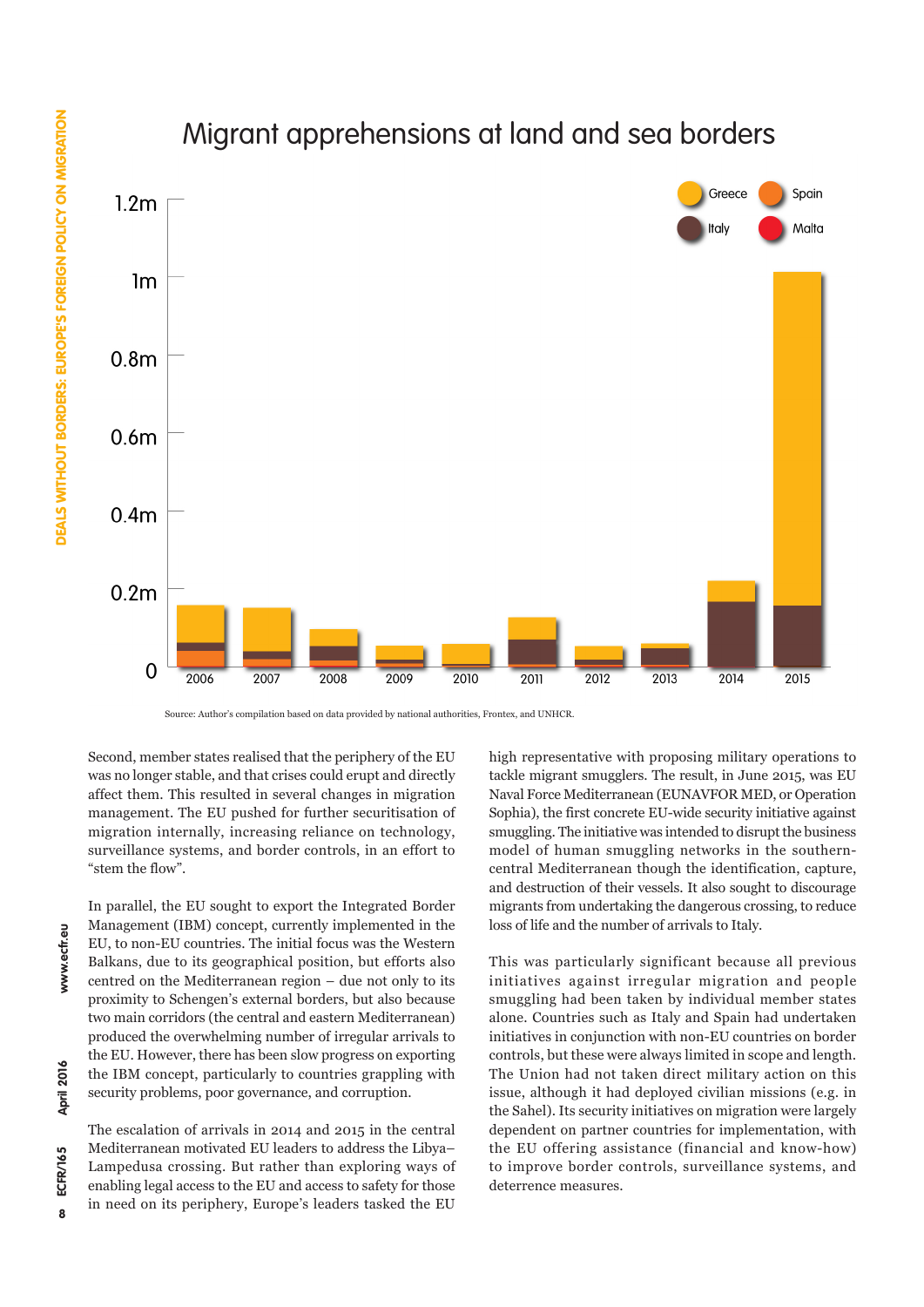# **DEALS WITHOUT BORDERS: EUROPE'S FOREIGN POLICY ON MIGRATION 8**DEALS WITHOUT BORDERS: EUROPE'S FOREIGN POLICY ON MIGRATION **www.ecfr.eu ECFR/165 April 2016**



Migrant apprehensions at land and sea borders

Source: Author's compilation based on data provided by national authorities, Frontex, and UNHCR.

Second, member states realised that the periphery of the EU was no longer stable, and that crises could erupt and directly affect them. This resulted in several changes in migration management. The EU pushed for further securitisation of migration internally, increasing reliance on technology, surveillance systems, and border controls, in an effort to "stem the flow".

In parallel, the EU sought to export the Integrated Border Management (IBM) concept, currently implemented in the EU, to non-EU countries. The initial focus was the Western Balkans, due to its geographical position, but efforts also centred on the Mediterranean region – due not only to its proximity to Schengen's external borders, but also because two main corridors (the central and eastern Mediterranean) produced the overwhelming number of irregular arrivals to the EU. However, there has been slow progress on exporting the IBM concept, particularly to countries grappling with security problems, poor governance, and corruption.

The escalation of arrivals in 2014 and 2015 in the central Mediterranean motivated EU leaders to address the Libya– Lampedusa crossing. But rather than exploring ways of enabling legal access to the EU and access to safety for those in need on its periphery, Europe's leaders tasked the EU

high representative with proposing military operations to tackle migrant smugglers. The result, in June 2015, was EU Naval Force Mediterranean (EUNAVFOR MED, or Operation Sophia), the first concrete EU-wide security initiative against smuggling. The initiative was intended to disrupt the business model of human smuggling networks in the southerncentral Mediterranean though the identification, capture, and destruction of their vessels. It also sought to discourage migrants from undertaking the dangerous crossing, to reduce loss of life and the number of arrivals to Italy.

This was particularly significant because all previous initiatives against irregular migration and people smuggling had been taken by individual member states alone. Countries such as Italy and Spain had undertaken initiatives in conjunction with non-EU countries on border controls, but these were always limited in scope and length. The Union had not taken direct military action on this issue, although it had deployed civilian missions (e.g. in the Sahel). Its security initiatives on migration were largely dependent on partner countries for implementation, with the EU offering assistance (financial and know-how) to improve border controls, surveillance systems, and deterrence measures.

April 2016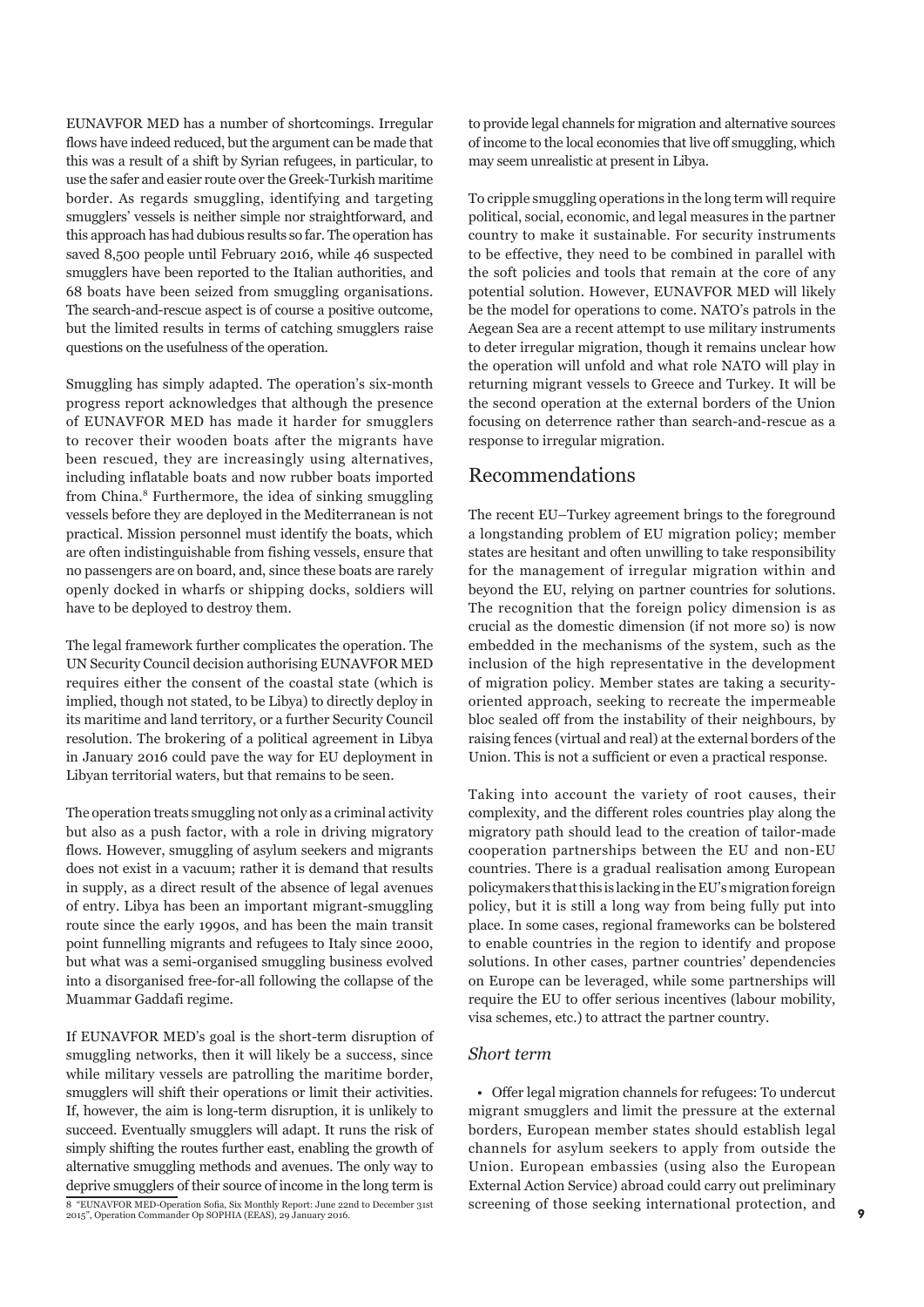EUNAVFOR MED has a number of shortcomings. Irregular flows have indeed reduced, but the argument can be made that this was a result of a shift by Syrian refugees, in particular, to use the safer and easier route over the Greek-Turkish maritime border. As regards smuggling, identifying and targeting smugglers' vessels is neither simple nor straightforward, and this approach has had dubious results so far. The operation has saved 8,500 people until February 2016, while 46 suspected smugglers have been reported to the Italian authorities, and 68 boats have been seized from smuggling organisations. The search-and-rescue aspect is of course a positive outcome, but the limited results in terms of catching smugglers raise questions on the usefulness of the operation.

Smuggling has simply adapted. The operation's six-month progress report acknowledges that although the presence of EUNAVFOR MED has made it harder for smugglers to recover their wooden boats after the migrants have been rescued, they are increasingly using alternatives, including inflatable boats and now rubber boats imported from China.8 Furthermore, the idea of sinking smuggling vessels before they are deployed in the Mediterranean is not practical. Mission personnel must identify the boats, which are often indistinguishable from fishing vessels, ensure that no passengers are on board, and, since these boats are rarely openly docked in wharfs or shipping docks, soldiers will have to be deployed to destroy them.

The legal framework further complicates the operation. The UN Security Council decision authorising EUNAVFOR MED requires either the consent of the coastal state (which is implied, though not stated, to be Libya) to directly deploy in its maritime and land territory, or a further Security Council resolution. The brokering of a political agreement in Libya in January 2016 could pave the way for EU deployment in Libyan territorial waters, but that remains to be seen.

The operation treats smuggling not only as a criminal activity but also as a push factor, with a role in driving migratory flows. However, smuggling of asylum seekers and migrants does not exist in a vacuum; rather it is demand that results in supply, as a direct result of the absence of legal avenues of entry. Libya has been an important migrant-smuggling route since the early 1990s, and has been the main transit point funnelling migrants and refugees to Italy since 2000, but what was a semi-organised smuggling business evolved into a disorganised free-for-all following the collapse of the Muammar Gaddafi regime.

If EUNAVFOR MED's goal is the short-term disruption of smuggling networks, then it will likely be a success, since while military vessels are patrolling the maritime border, smugglers will shift their operations or limit their activities. If, however, the aim is long-term disruption, it is unlikely to succeed. Eventually smugglers will adapt. It runs the risk of simply shifting the routes further east, enabling the growth of alternative smuggling methods and avenues. The only way to deprive smugglers of their source of income in the long term is 8 "EUNAVFOR MED-Operation Sofia, Six Monthly Report: June 22nd to December 31st 2015", Operation Commander Op SOPHIA (EEAS), 29 January 2016.

to provide legal channels for migration and alternative sources of income to the local economies that live off smuggling, which may seem unrealistic at present in Libya.

To cripple smuggling operations in the long term will require political, social, economic, and legal measures in the partner country to make it sustainable. For security instruments to be effective, they need to be combined in parallel with the soft policies and tools that remain at the core of any potential solution. However, EUNAVFOR MED will likely be the model for operations to come. NATO's patrols in the Aegean Sea are a recent attempt to use military instruments to deter irregular migration, though it remains unclear how the operation will unfold and what role NATO will play in returning migrant vessels to Greece and Turkey. It will be the second operation at the external borders of the Union focusing on deterrence rather than search-and-rescue as a response to irregular migration.

### Recommendations

The recent EU–Turkey agreement brings to the foreground a longstanding problem of EU migration policy; member states are hesitant and often unwilling to take responsibility for the management of irregular migration within and beyond the EU, relying on partner countries for solutions. The recognition that the foreign policy dimension is as crucial as the domestic dimension (if not more so) is now embedded in the mechanisms of the system, such as the inclusion of the high representative in the development of migration policy. Member states are taking a securityoriented approach, seeking to recreate the impermeable bloc sealed off from the instability of their neighbours, by raising fences (virtual and real) at the external borders of the Union. This is not a sufficient or even a practical response.

Taking into account the variety of root causes, their complexity, and the different roles countries play along the migratory path should lead to the creation of tailor-made cooperation partnerships between the EU and non-EU countries. There is a gradual realisation among European policymakers that this is lacking in the EU's migration foreign policy, but it is still a long way from being fully put into place. In some cases, regional frameworks can be bolstered to enable countries in the region to identify and propose solutions. In other cases, partner countries' dependencies on Europe can be leveraged, while some partnerships will require the EU to offer serious incentives (labour mobility, visa schemes, etc.) to attract the partner country.

### *Short term*

• Offer legal migration channels for refugees: To undercut migrant smugglers and limit the pressure at the external borders, European member states should establish legal channels for asylum seekers to apply from outside the Union. European embassies (using also the European External Action Service) abroad could carry out preliminary screening of those seeking international protection, and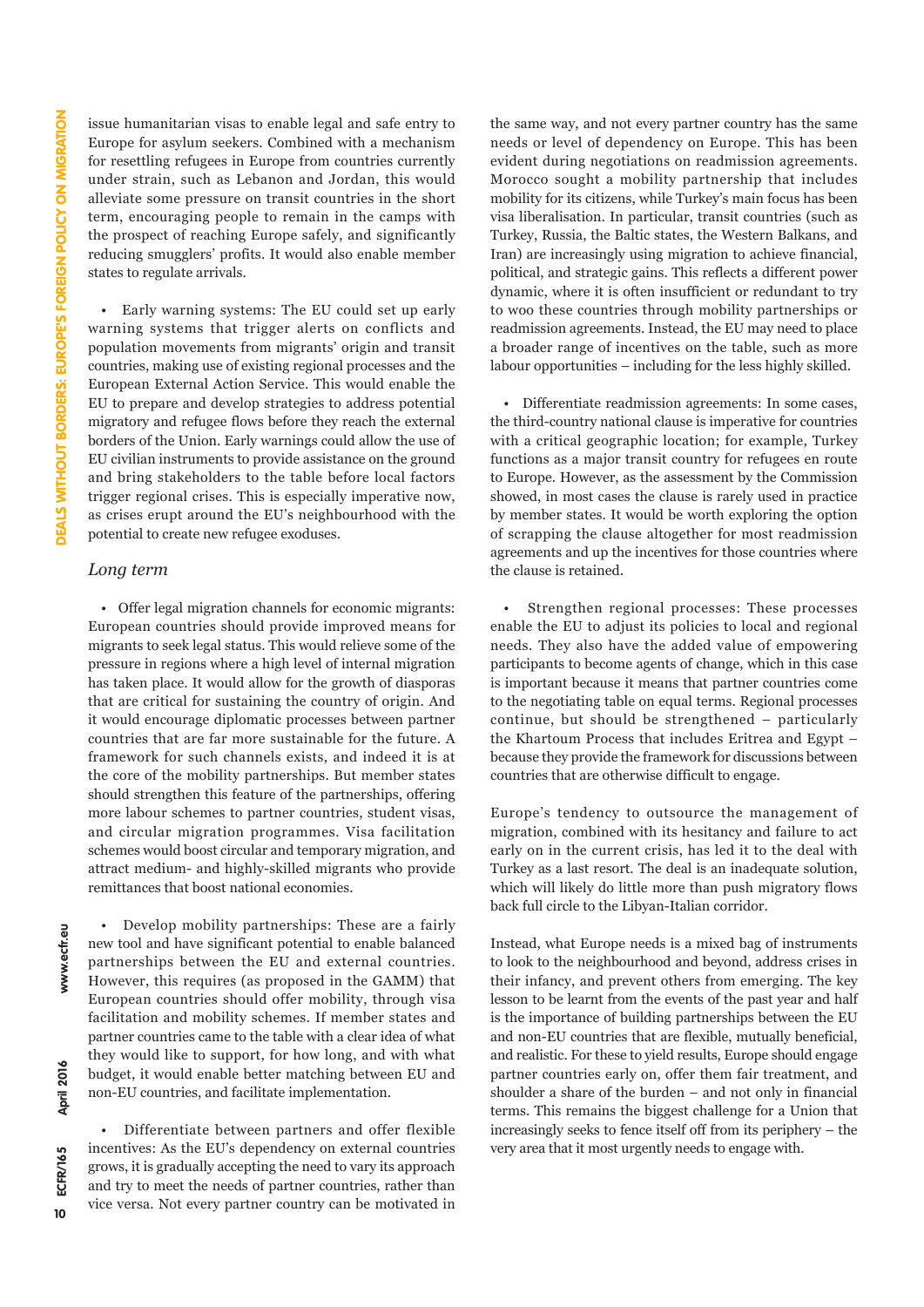issue humanitarian visas to enable legal and safe entry to Europe for asylum seekers. Combined with a mechanism for resettling refugees in Europe from countries currently under strain, such as Lebanon and Jordan, this would alleviate some pressure on transit countries in the short term, encouraging people to remain in the camps with the prospect of reaching Europe safely, and significantly reducing smugglers' profits. It would also enable member states to regulate arrivals.

• Early warning systems: The EU could set up early warning systems that trigger alerts on conflicts and population movements from migrants' origin and transit countries, making use of existing regional processes and the European External Action Service. This would enable the EU to prepare and develop strategies to address potential migratory and refugee flows before they reach the external borders of the Union. Early warnings could allow the use of EU civilian instruments to provide assistance on the ground and bring stakeholders to the table before local factors trigger regional crises. This is especially imperative now, as crises erupt around the EU's neighbourhood with the potential to create new refugee exoduses.

### *Long term*

• Offer legal migration channels for economic migrants: European countries should provide improved means for migrants to seek legal status. This would relieve some of the pressure in regions where a high level of internal migration has taken place. It would allow for the growth of diasporas that are critical for sustaining the country of origin. And it would encourage diplomatic processes between partner countries that are far more sustainable for the future. A framework for such channels exists, and indeed it is at the core of the mobility partnerships. But member states should strengthen this feature of the partnerships, offering more labour schemes to partner countries, student visas, and circular migration programmes. Visa facilitation schemes would boost circular and temporary migration, and attract medium- and highly-skilled migrants who provide remittances that boost national economies.

• Develop mobility partnerships: These are a fairly new tool and have significant potential to enable balanced partnerships between the EU and external countries. However, this requires (as proposed in the GAMM) that European countries should offer mobility, through visa facilitation and mobility schemes. If member states and partner countries came to the table with a clear idea of what they would like to support, for how long, and with what budget, it would enable better matching between EU and non-EU countries, and facilitate implementation.

• Differentiate between partners and offer flexible incentives: As the EU's dependency on external countries grows, it is gradually accepting the need to vary its approach and try to meet the needs of partner countries, rather than vice versa. Not every partner country can be motivated in the same way, and not every partner country has the same needs or level of dependency on Europe. This has been evident during negotiations on readmission agreements. Morocco sought a mobility partnership that includes mobility for its citizens, while Turkey's main focus has been visa liberalisation. In particular, transit countries (such as Turkey, Russia, the Baltic states, the Western Balkans, and Iran) are increasingly using migration to achieve financial, political, and strategic gains. This reflects a different power dynamic, where it is often insufficient or redundant to try to woo these countries through mobility partnerships or readmission agreements. Instead, the EU may need to place a broader range of incentives on the table, such as more labour opportunities – including for the less highly skilled.

• Differentiate readmission agreements: In some cases, the third-country national clause is imperative for countries with a critical geographic location; for example, Turkey functions as a major transit country for refugees en route to Europe. However, as the assessment by the Commission showed, in most cases the clause is rarely used in practice by member states. It would be worth exploring the option of scrapping the clause altogether for most readmission agreements and up the incentives for those countries where the clause is retained.

Strengthen regional processes: These processes enable the EU to adjust its policies to local and regional needs. They also have the added value of empowering participants to become agents of change, which in this case is important because it means that partner countries come to the negotiating table on equal terms. Regional processes continue, but should be strengthened – particularly the Khartoum Process that includes Eritrea and Egypt – because they provide the framework for discussions between countries that are otherwise difficult to engage.

Europe's tendency to outsource the management of migration, combined with its hesitancy and failure to act early on in the current crisis, has led it to the deal with Turkey as a last resort. The deal is an inadequate solution, which will likely do little more than push migratory flows back full circle to the Libyan-Italian corridor.

Instead, what Europe needs is a mixed bag of instruments to look to the neighbourhood and beyond, address crises in their infancy, and prevent others from emerging. The key lesson to be learnt from the events of the past year and half is the importance of building partnerships between the EU and non-EU countries that are flexible, mutually beneficial, and realistic. For these to yield results, Europe should engage partner countries early on, offer them fair treatment, and shoulder a share of the burden – and not only in financial terms. This remains the biggest challenge for a Union that increasingly seeks to fence itself off from its periphery – the very area that it most urgently needs to engage with.

 $10$ 

www.ecfr.eu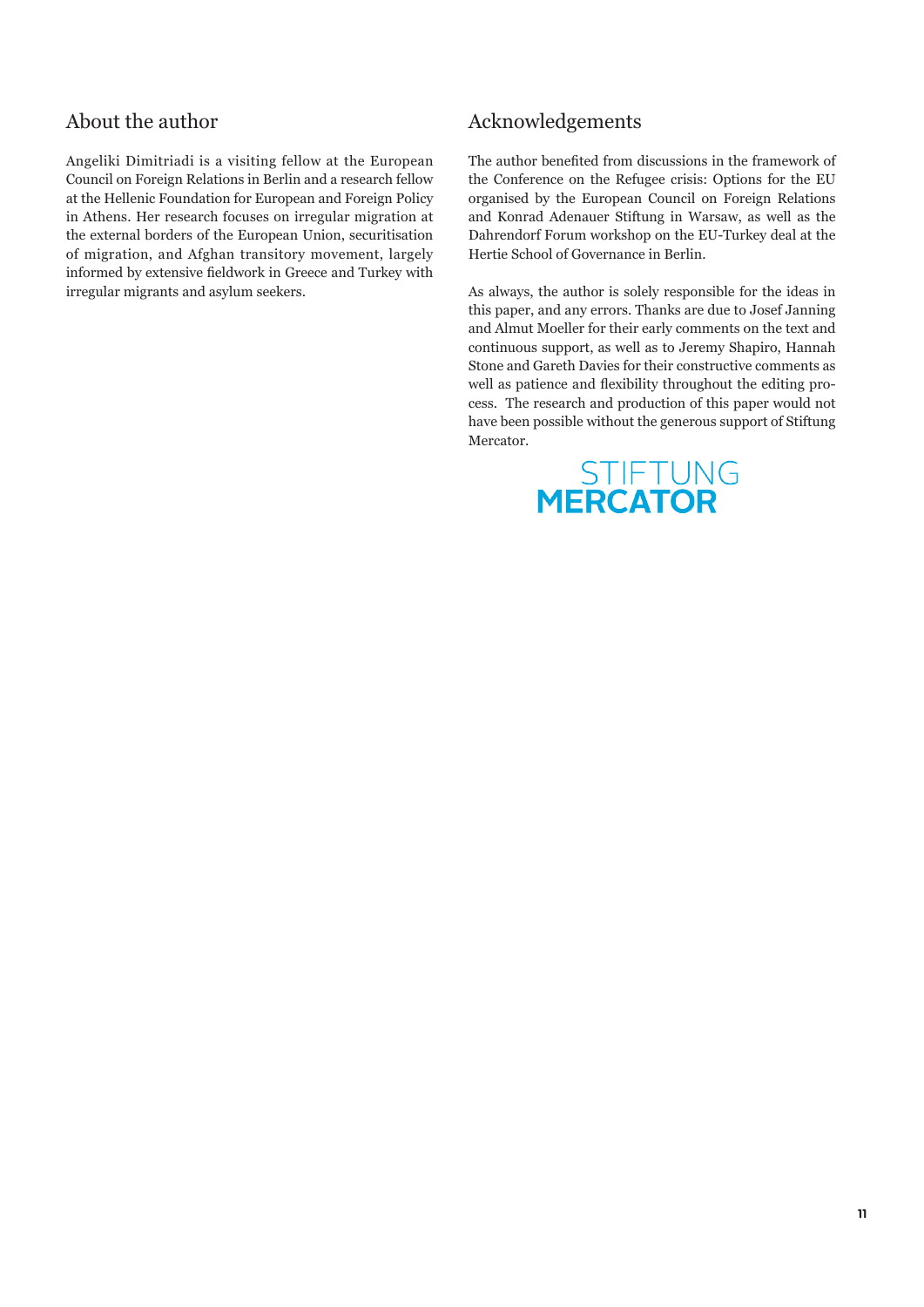### About the author

Angeliki Dimitriadi is a visiting fellow at the European Council on Foreign Relations in Berlin and a research fellow at the Hellenic Foundation for European and Foreign Policy in Athens. Her research focuses on irregular migration at the external borders of the European Union, securitisation of migration, and Afghan transitory movement, largely informed by extensive fieldwork in Greece and Turkey with irregular migrants and asylum seekers.

### Acknowledgements

The author benefited from discussions in the framework of the Conference on the Refugee crisis: Options for the EU organised by the European Council on Foreign Relations and Konrad Adenauer Stiftung in Warsaw, as well as the Dahrendorf Forum workshop on the EU-Turkey deal at the Hertie School of Governance in Berlin.

As always, the author is solely responsible for the ideas in this paper, and any errors. Thanks are due to Josef Janning and Almut Moeller for their early comments on the text and continuous support, as well as to Jeremy Shapiro, Hannah Stone and Gareth Davies for their constructive comments as well as patience and flexibility throughout the editing process. The research and production of this paper would not have been possible without the generous support of Stiftung Mercator.